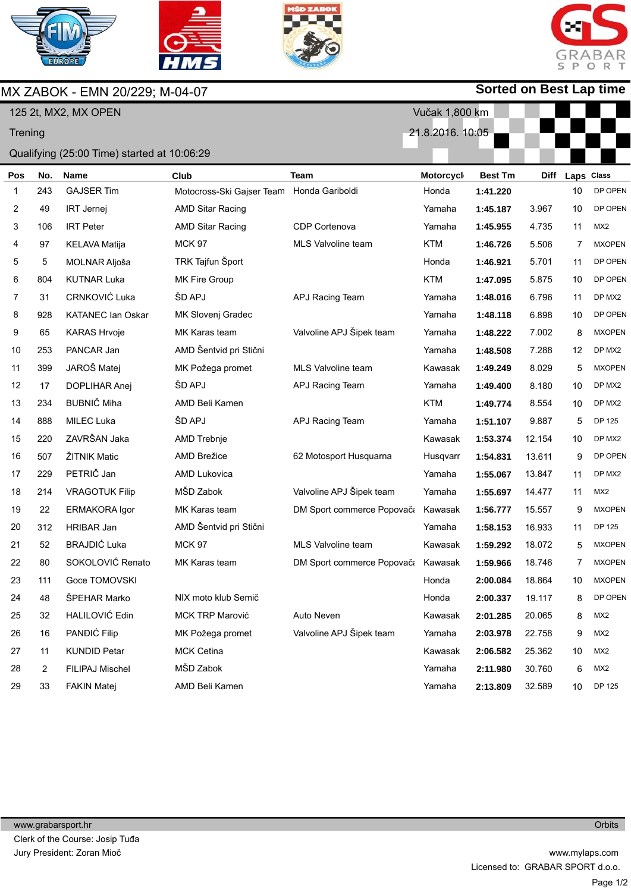

MX ZABOK - EMN 20/229; M-04-07







## **Sorted on Best Lap time**

|         |     | 125 2t, MX2, MX OPEN                        |                           |                                    | Vučak 1,800 km   |                |             |            |                 |
|---------|-----|---------------------------------------------|---------------------------|------------------------------------|------------------|----------------|-------------|------------|-----------------|
| Trening |     |                                             |                           |                                    | 21.8.2016. 10:05 |                |             |            |                 |
|         |     | Qualifying (25:00 Time) started at 10:06:29 |                           |                                    |                  |                |             |            |                 |
| Pos     | No. | <b>Name</b>                                 | Club                      | <b>Team</b>                        | Motorcycl        | <b>Best Tm</b> | <b>Diff</b> | Laps Class |                 |
| 1       | 243 | <b>GAJSER Tim</b>                           | Motocross-Ski Gajser Team | Honda Gariboldi                    | Honda            | 1:41.220       |             | 10         | DP OPEN         |
| 2       | 49  | <b>IRT Jernej</b>                           | <b>AMD Sitar Racing</b>   |                                    | Yamaha           | 1:45.187       | 3.967       | 10         | DP OPEN         |
| 3       | 106 | <b>IRT Peter</b>                            | AMD Sitar Racing          | CDP Cortenova                      | Yamaha           | 1:45.955       | 4.735       | 11         | MX <sub>2</sub> |
| 4       | 97  | <b>KELAVA Matija</b>                        | <b>MCK 97</b>             | MLS Valvoline team                 | <b>KTM</b>       | 1:46.726       | 5.506       | 7          | <b>MXOPEN</b>   |
| 5       | 5   | MOLNAR Aljoša                               | TRK Tajfun Šport          |                                    | Honda            | 1:46.921       | 5.701       | 11         | DP OPEN         |
| 6       | 804 | <b>KUTNAR Luka</b>                          | MK Fire Group             |                                    | <b>KTM</b>       | 1:47.095       | 5.875       | 10         | DP OPEN         |
| 7       | 31  | CRNKOVIĆ Luka                               | ŠD APJ                    | APJ Racing Team                    | Yamaha           | 1:48.016       | 6.796       | 11         | DP MX2          |
| 8       | 928 | <b>KATANEC Ian Oskar</b>                    | MK Slovenj Gradec         |                                    | Yamaha           | 1:48.118       | 6.898       | 10         | DP OPEN         |
| 9       | 65  | <b>KARAS Hrvoje</b>                         | MK Karas team             | Valvoline APJ Šipek team           | Yamaha           | 1:48.222       | 7.002       | 8          | <b>MXOPEN</b>   |
| 10      | 253 | PANCAR Jan                                  | AMD Šentvid pri Stični    |                                    | Yamaha           | 1:48.508       | 7.288       | 12         | DP MX2          |
| 11      | 399 | JAROŠ Matej                                 | MK Požega promet          | <b>MLS Valvoline team</b>          | Kawasak          | 1:49.249       | 8.029       | 5          | <b>MXOPEN</b>   |
| 12      | 17  | <b>DOPLIHAR Anej</b>                        | ŠD APJ                    | APJ Racing Team                    | Yamaha           | 1:49.400       | 8.180       | 10         | DP MX2          |
| 13      | 234 | <b>BUBNIČ Miha</b>                          | AMD Beli Kamen            |                                    | <b>KTM</b>       | 1:49.774       | 8.554       | 10         | DP MX2          |
| 14      | 888 | <b>MILEC Luka</b>                           | ŠD APJ                    | APJ Racing Team                    | Yamaha           | 1:51.107       | 9.887       | 5          | DP 125          |
| 15      | 220 | ZAVRŠAN Jaka                                | AMD Trebnje               |                                    | Kawasak          | 1:53.374       | 12.154      | 10         | DP MX2          |
| 16      | 507 | ŽITNIK Matic                                | <b>AMD Brežice</b>        | 62 Motosport Husquarna             | Husqvarr         | 1:54.831       | 13.611      | 9          | DP OPEN         |
| 17      | 229 | PETRIČ Jan                                  | <b>AMD Lukovica</b>       |                                    | Yamaha           | 1:55.067       | 13.847      | 11         | DP MX2          |
| 18      | 214 | <b>VRAGOTUK Filip</b>                       | MŠD Zabok                 | Valvoline APJ Šipek team           | Yamaha           | 1:55.697       | 14.477      | 11         | MX <sub>2</sub> |
| 19      | 22  | <b>ERMAKORA Igor</b>                        | MK Karas team             | DM Sport commerce Popovača         | Kawasak          | 1:56.777       | 15.557      | 9          | <b>MXOPEN</b>   |
| 20      | 312 | <b>HRIBAR Jan</b>                           | AMD Šentvid pri Stični    |                                    | Yamaha           | 1:58.153       | 16.933      | 11         | DP 125          |
| 21      | 52  | <b>BRAJDIĆ Luka</b>                         | <b>MCK 97</b>             | MLS Valvoline team                 | Kawasak          | 1:59.292       | 18.072      | 5          | <b>MXOPEN</b>   |
| 22      | 80  | SOKOLOVIĆ Renato                            | MK Karas team             | DM Sport commerce Popovača Kawasak |                  | 1:59.966       | 18.746      | 7          | <b>MXOPEN</b>   |
| 23      | 111 | Goce TOMOVSKI                               |                           |                                    | Honda            | 2:00.084       | 18.864      | 10         | <b>MXOPEN</b>   |
| 24      | 48  | ŠPEHAR Marko                                | NIX moto klub Semič       |                                    | Honda            | 2:00.337       | 19.117      | 8          | DP OPEN         |
| 25      | 32  | HALILOVIĆ Edin                              | MCK TRP Marović           | Auto Neven                         | Kawasak          | 2:01.285       | 20.065      | 8          | MX2             |
| 26      | 16  | PANĐIĆ Filip                                | MK Požega promet          | Valvoline APJ Šipek team           | Yamaha           | 2:03.978       | 22.758      | 9          | MX <sub>2</sub> |
| 27      | 11  | <b>KUNDID Petar</b>                         | <b>MCK Cetina</b>         |                                    | Kawasak          | 2:06.582       | 25.362      | 10         | MX2             |
| 28      | 2   | FILIPAJ Mischel                             | MŠD Zabok                 |                                    | Yamaha           | 2:11.980       | 30.760      | 6          | MX <sub>2</sub> |
| 29      | 33  | <b>FAKIN Matej</b>                          | AMD Beli Kamen            |                                    | Yamaha           | 2:13.809       | 32.589      | 10         | DP 125          |